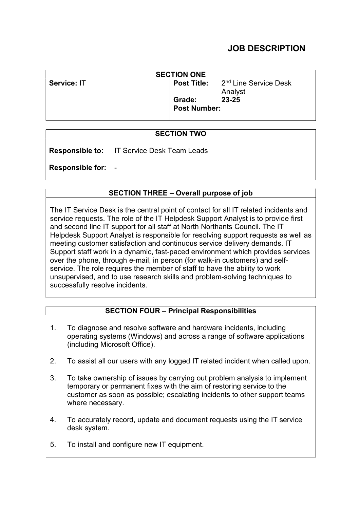# JOB DESCRIPTION

| <b>SECTION ONE</b> |                     |                                   |  |
|--------------------|---------------------|-----------------------------------|--|
| Service: IT        | <b>Post Title:</b>  | 2 <sup>nd</sup> Line Service Desk |  |
|                    |                     | Analyst                           |  |
|                    | Grade:              | $23 - 25$                         |  |
|                    | <b>Post Number:</b> |                                   |  |
|                    |                     |                                   |  |

# SECTION TWO

Responsible to: IT Service Desk Team Leads

Responsible for:

## SECTION THREE – Overall purpose of job

The IT Service Desk is the central point of contact for all IT related incidents and service requests. The role of the IT Helpdesk Support Analyst is to provide first and second line IT support for all staff at North Northants Council. The IT Helpdesk Support Analyst is responsible for resolving support requests as well as meeting customer satisfaction and continuous service delivery demands. IT Support staff work in a dynamic, fast-paced environment which provides services over the phone, through e-mail, in person (for walk-in customers) and selfservice. The role requires the member of staff to have the ability to work unsupervised, and to use research skills and problem-solving techniques to successfully resolve incidents.

## SECTION FOUR – Principal Responsibilities

- 1. To diagnose and resolve software and hardware incidents, including operating systems (Windows) and across a range of software applications (including Microsoft Office).
- 2. To assist all our users with any logged IT related incident when called upon.
- 3. To take ownership of issues by carrying out problem analysis to implement temporary or permanent fixes with the aim of restoring service to the customer as soon as possible; escalating incidents to other support teams where necessary.
- 4. To accurately record, update and document requests using the IT service desk system.
- 5. To install and configure new IT equipment.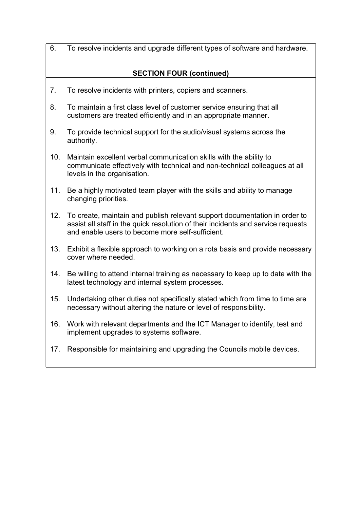6. To resolve incidents and upgrade different types of software and hardware.

## SECTION FOUR (continued)

- 7. To resolve incidents with printers, copiers and scanners.
- 8. To maintain a first class level of customer service ensuring that all customers are treated efficiently and in an appropriate manner.
- 9. To provide technical support for the audio/visual systems across the authority.
- 10. Maintain excellent verbal communication skills with the ability to communicate effectively with technical and non-technical colleagues at all levels in the organisation.
- 11. Be a highly motivated team player with the skills and ability to manage changing priorities.
- 12. To create, maintain and publish relevant support documentation in order to assist all staff in the quick resolution of their incidents and service requests and enable users to become more self-sufficient.
- 13. Exhibit a flexible approach to working on a rota basis and provide necessary cover where needed.
- 14. Be willing to attend internal training as necessary to keep up to date with the latest technology and internal system processes.
- 15. Undertaking other duties not specifically stated which from time to time are necessary without altering the nature or level of responsibility.
- 16. Work with relevant departments and the ICT Manager to identify, test and implement upgrades to systems software.
- 17. Responsible for maintaining and upgrading the Councils mobile devices.